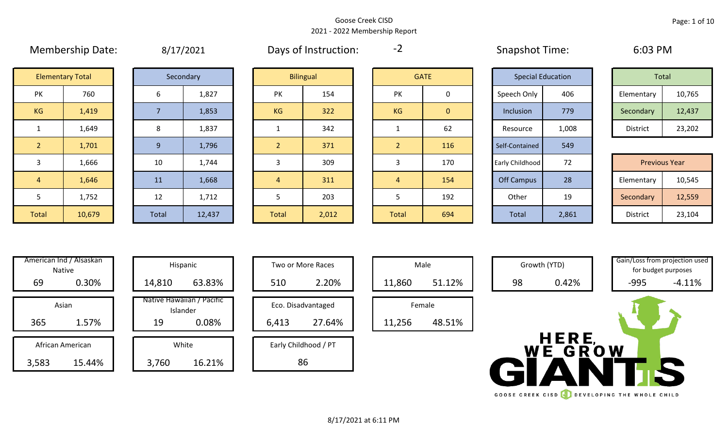#### Goose Creek CISD 2021 - 2022 Membership Report

|                | 1.1.1.0.0.1.0.0.00.0.00.00.00.00.000 |       | $-7$ $-7$ $-0$ $-1$ |              |                  |                |                | $5.18 \mu$        |                          |                      |        |
|----------------|--------------------------------------|-------|---------------------|--------------|------------------|----------------|----------------|-------------------|--------------------------|----------------------|--------|
|                | <b>Elementary Total</b>              |       | Secondary           |              | <b>Bilingual</b> |                | <b>GATE</b>    |                   | <b>Special Education</b> | Total                |        |
| PK             | 760                                  | 6     | 1,827               | PK           | 154              | <b>PK</b>      | 0              | Speech Only       | 406                      | Elementary           | 10,765 |
| KG             | 1,419                                |       | 1,853               | <b>KG</b>    | 322              | KG             | $\overline{0}$ | Inclusion         | 779                      | Secondary            | 12,437 |
|                | 1,649                                | 8     | 1,837               |              | 342              |                | 62             | Resource          | 1,008                    | District             | 23,202 |
| $\overline{2}$ | 1,701                                | 9     | 1,796               |              | 371              | $\overline{2}$ | 116            | Self-Contained    | 549                      |                      |        |
| $\overline{3}$ | 1,666                                | 10    | 1,744               |              | 309              | 3              | 170            | Early Childhood   | 72                       | <b>Previous Year</b> |        |
| $\overline{4}$ | 1,646                                | 11    | 1,668               | 4            | 311              | 4              | 154            | <b>Off Campus</b> | 28                       | Elementary           | 10,545 |
| 5              | 1,752                                | 12    | 1,712               |              | 203              | 5              | 192            | Other             | 19                       | Secondary            | 12,559 |
| Total          | 10,679                               | Total | 12,437              | <b>Total</b> | 2,012            | Total          | 694            | Total             | 2,861                    | District             | 23,104 |

Membership Date:  $\qquad \qquad 8/17/2021$  Days of Instruction:  $\qquad -2$  Snapshot Time: 6:03 PM

-2

|             | <b>Special Education</b> | Total           |        |
|-------------|--------------------------|-----------------|--------|
| Speech Only | 406                      | Elementary      | 10,765 |
| Inclusion   | 779                      | Secondary       | 12,437 |
| Resource    | 1,008                    | <b>District</b> | 23,202 |

|      | 1,666  | 10           | 1,744  |              | 309   |              | 170 | Early Childhood | 72    | <b>Previous Year</b> |        |
|------|--------|--------------|--------|--------------|-------|--------------|-----|-----------------|-------|----------------------|--------|
|      | 1,646  | 11           | 1,668  |              | 311   |              | 154 | Off Campus      | 28    | Elementary           | 10,545 |
|      | 1,752  | 12           | 1,712  |              | 203   |              | 192 | Other           | 19    | Secondary            | 12,559 |
| otal | 10,679 | <b>Total</b> | 12,437 | <b>Total</b> | 2,012 | <b>Total</b> | 694 | <b>Total</b>    | 2,861 | District             | 23,104 |

| Hispani                    | American Ind / Alsaskan<br><b>Native</b> |       |
|----------------------------|------------------------------------------|-------|
| 14,810                     | 0.30%                                    | 69    |
| Native Hawaiiai<br>Islande | Asian                                    |       |
| 19                         | 1.57%                                    | 365   |
|                            |                                          |       |
| White                      | African American                         |       |
| 3.7                        | 15.44%                                   | 3.583 |

| vinerican ind / Alsaskan<br><b>Native</b> |        | Hispanic                              |       | Two or More Races    |        | Male   |
|-------------------------------------------|--------|---------------------------------------|-------|----------------------|--------|--------|
| 0.30%<br>69                               | 14,810 | 63.83%                                | 510   | 2.20%                | 11,860 | 51.12% |
| Asian                                     |        | Native Hawaiian / Pacific<br>Islander |       | Eco. Disadvantaged   |        | Female |
| 1.57%<br>365                              | 19     | 0.08%                                 | 6,413 | 27.64%               | 11,256 | 48.51% |
| African American                          |        | White                                 |       | Early Childhood / PT |        |        |
| 3,583<br>15.44%                           | 3,760  | 16.21%                                |       | 86                   |        |        |

| Hispanic                       |       | Two or More Races    |
|--------------------------------|-------|----------------------|
| 63.83%                         | 510   | 2.20%                |
| lawaiian / Pacific<br>Islander |       | Eco. Disadvantaged   |
| 0.08%                          | 6,413 | 27.64%               |
| White                          |       | Early Childhood / PT |
| 16.21%                         |       |                      |



Male Growth (YTD) Gain/Loss from projection used

WE GROW

GOOSE CREEK CISD **CONSERVANCE THE WHOLE CHILD** 

for budget purposes

8/17/2021 at 6:11 PM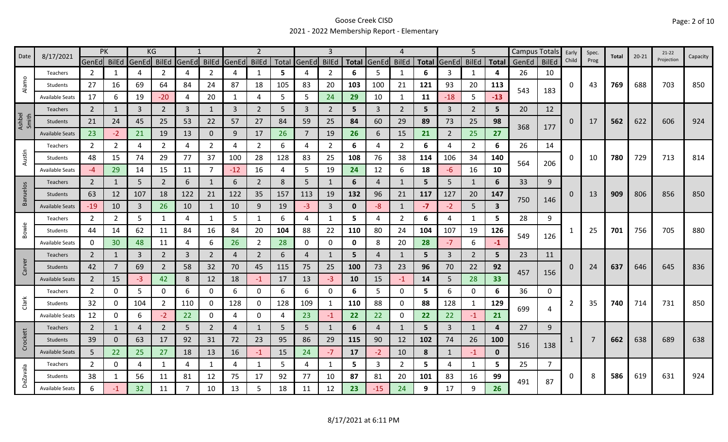## Goose Creek CISD 2021 - 2022 Membership Report - Elementary

| Date            | 8/17/2021              | PK             |              |                | KG             |                |                |             |                |       |                |              |              |              | 4              |              |                | 5              |              | Campus Totals |              | Early    | Spec.          | Total | $20 - 21$ | $21 - 22$  | Capacity |
|-----------------|------------------------|----------------|--------------|----------------|----------------|----------------|----------------|-------------|----------------|-------|----------------|--------------|--------------|--------------|----------------|--------------|----------------|----------------|--------------|---------------|--------------|----------|----------------|-------|-----------|------------|----------|
|                 |                        | <b>GenEd</b>   | <b>BilEd</b> | GenEd          | <b>BilEd</b>   | GenEd BilEd    |                | GenEd BilEd |                | Total | GenEd          | <b>BilEd</b> | <b>Total</b> | GenEd        | <b>BilEd</b>   | <b>Total</b> | GenEd          | <b>BilEd</b>   | <b>Total</b> | GenEd         | <b>BilEd</b> | Child    | Prog           |       |           | Projection |          |
|                 | Teachers               | 2              | -1           | 4              | 2              | 4              | $\overline{2}$ | 4           | 1              | 5     | 4              | 2            | 6            | 5            | $\mathbf{1}$   | 6            | 3              | 1              | 4            | 26            | 10           |          |                |       |           |            |          |
| Alamo           | Students               | 27             | 16           | 69             | 64             | 84             | 24             | 87          | 18             | 105   | 83             | 20           | 103          | 100          | 21             | 121          | 93             | 20             | 113          | 543           | 183          | 0        | 43             | 769   | 688       | 703        | 850      |
|                 | <b>Available Seats</b> | 17             | 6            | 19             | $-20$          | 4              | 20             | 1           | 4              | 5     | 5              | 24           | 29           | 10           | 1              | 11           | $-18$          | 5              | $-13$        |               |              |          |                |       |           |            |          |
|                 | Teachers               | 2              |              | 3              | $\overline{2}$ | 3              | $\mathbf{1}$   | 3           | $2^{\circ}$    | 5     | 3              | 2            | 5            | $\mathbf{3}$ | $\overline{2}$ | 5            | 3              | $\overline{2}$ | 5            | 20            | 12           |          |                |       |           |            |          |
| Ashbel<br>Smith | Students               | 21             | 24           | 45             | 25             | 53             | 22             | 57          | 27             | 84    | 59             | 25           | 84           | 60           | 29             | 89           | 73             | 25             | 98           | 368           | 177          | $\Omega$ | 17             | 562   | 622       | 606        | 924      |
|                 | <b>Available Seats</b> | 23             | $-2$         | 21             | 19             | 13             | $\mathbf{0}$   | 9           | 17             | 26    | $\overline{7}$ | 19           | 26           | 6            | 15             | 21           | $\overline{2}$ | 25             | 27           |               |              |          |                |       |           |            |          |
|                 | Teachers               | $\overline{2}$ | 2            | 4              | 2              | 4              | $\overline{2}$ | 4           | $\overline{2}$ | 6     | 4              | 2            | 6            | 4            | $\overline{2}$ | 6            | 4              | $\overline{2}$ | 6            | 26            | 14           |          |                |       |           |            |          |
| Austin          | Students               | 48             | 15           | 74             | 29             | 77             | 37             | 100         | 28             | 128   | 83             | 25           | 108          | 76           | 38             | 114          | 106            | 34             | 140          |               |              | 0        | 10             | 780   | 729       | 713        | 814      |
|                 | <b>Available Seats</b> | $-4$           | 29           | 14             | 15             | 11             | $\overline{7}$ | $-12$       | 16             | 4     | 5              | 19           | 24           | 12           | 6              | 18           | -6             | 16             | 10           | 564           | 206          |          |                |       |           |            |          |
|                 | <b>Teachers</b>        | $\overline{2}$ | 1            | 5              | $\overline{2}$ | 6              | $\mathbf{1}$   | 6           | $\overline{2}$ | 8     | 5              | 1            | 6            | 4            | $\mathbf{1}$   | 5            | 5              | $\mathbf{1}$   | 6            | 33            | 9            |          |                |       |           |            |          |
| <b>Banuelos</b> | Students               | 63             | 12           | 107            | 18             | 122            | 21             | 122         | 35             | 157   | 113            | 19           | 132          | 96           | 21             | 117          | 127            | 20             | 147          |               |              | $\Omega$ | 13             | 909   | 806       | 856        | 850      |
|                 | <b>Available Seats</b> | $-19$          | 10           | 3              | 26             | 10             | 1              | 10          | 9              | 19    | $-3$           | 3            | $\mathbf 0$  | -8           | $\mathbf{1}$   | $-7$         | $-2$           | 5              | 3            | 750           | 146          |          |                |       |           |            |          |
|                 | Teachers               | $\overline{2}$ | 2            | 5              | 1              | 4              | 1              | 5           | 1              | 6     | 4              | 1            | 5.           | 4            | $\overline{2}$ | 6            | 4              | 1              | 5.           | 28            | 9            |          |                |       |           |            |          |
| Bowie           | Students               | 44             | 14           | 62             | 11             | 84             | 16             | 84          | 20             | 104   | 88             | 22           | 110          | 80           | 24             | 104          | 107            | 19             | 126          |               |              |          | 25             | 701   | 756       | 705        | 880      |
|                 | <b>Available Seats</b> | $\mathbf 0$    | 30           | 48             | 11             | $\overline{4}$ | 6              | 26          | $\overline{2}$ | 28    | 0              | 0            | 0            | 8            | 20             | 28           | $-7$           | 6              | $-1$         | 549           | 126          |          |                |       |           |            |          |
|                 | Teachers               | $\overline{2}$ | -1           | $\overline{3}$ | $\overline{2}$ | $\overline{3}$ | $\overline{2}$ | 4           | $\overline{2}$ | 6     | 4              | 1            | 5            | 4            | -1             | 5            | 3              | $\overline{2}$ | 5            | 23            | 11           |          |                |       |           |            |          |
| Carver          | Students               | 42             |              | 69             | $\overline{2}$ | 58             | 32             | 70          | 45             | 115   | 75             | 25           | 100          | 73           | 23             | 96           | 70             | 22             | 92           |               |              | $\Omega$ | 24             | 637   | 646       | 645        | 836      |
|                 | <b>Available Seats</b> | $\overline{2}$ | 15           | $-3$           | 42             | 8              | 12             | 18          | $-1$           | 17    | 13             | $-3$         | 10           | 15           | $-1$           | 14           | 5              | 28             | 33           | 457           | 156          |          |                |       |           |            |          |
|                 | Teachers               | $\overline{2}$ | 0            | 5              | 0              | 6              | 0              | 6           | 0              | 6     | 6              | 0            | 6            | 5            | 0              | 5            | 6              | 0              | 6            | 36            | 0            |          |                |       |           |            |          |
| Clark           | Students               | 32             | 0            | 104            | $\overline{2}$ | 110            | 0              | 128         | 0              | 128   | 109            | 1            | 110          | 88           | 0              | 88           | 128            | 1              | 129          |               |              | 2        | 35             | 740   | 714       | 731        | 850      |
|                 | <b>Available Seats</b> | 12             | 0            | 6              | -2             | 22             | 0              | 4           | 0              | 4     | 23             | -1           | 22           | 22           | 0              | 22           | 22             | $-1$           | 21           | 699           | 4            |          |                |       |           |            |          |
|                 | Teachers               | $\overline{2}$ |              | $\overline{4}$ | $\overline{2}$ | 5              | $\overline{2}$ | 4           | $\mathbf{1}$   | 5     | 5              | $\mathbf{1}$ | 6            | 4            | -1             | 5            | 3              | 1              | 4            | 27            | 9            |          |                |       |           |            |          |
| Crockett        | Students               | 39             | 0            | 63             | 17             | 92             | 31             | 72          | 23             | 95    | 86             | 29           | 115          | 90           | 12             | 102          | 74             | 26             | <b>100</b>   |               |              |          | $\overline{7}$ | 662   | 638       | 689        | 638      |
|                 | <b>Available Seats</b> | 5              | 22           | 25             | 27             | 18             | 13             | 16          | $-1$           | 15    | 24             | $-7$         | 17           | $-2$         | 10             | 8            | 1              | $-1$           | $\mathbf{0}$ | 516           | 138          |          |                |       |           |            |          |
|                 | Teachers               | $\overline{2}$ | 0            | 4              | 1              | 4              | 1              | 4           | 1              | 5     | 4              | $\mathbf{1}$ | 5            | 3            | $\overline{2}$ | 5            | 4              | 1              | 5            | 25            | 7            |          |                |       |           |            |          |
|                 | Students               | 38             | 1            | 56             | 11             | 81             | 12             | 75          | 17             | 92    | 77             | 10           | 87           | 81           | 20             | 101          | 83             | 16             | 99           |               |              | 0        | 8              | 586   | 619       | 631        | 924      |
| <b>DeZavala</b> | <b>Available Seats</b> | 6              | -1           | 32             | 11             | -7             | 10             | 13          | 5              | 18    | 11             | 12           | 23           | $-15$        | 24             | 9            | 17             | 9              | 26           | 491           | 87           |          |                |       |           |            |          |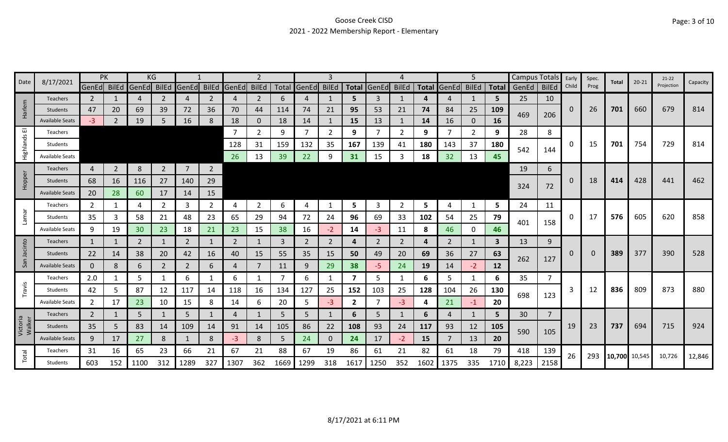## Goose Creek CISD 2021 - 2022 Membership Report - Elementary

|                    | 8/17/2021              |                | PK             |                | KG             |                |                |             |                |      |                   | З    |                         |                |                |              |                | 5            |              | Campus Totals |                | Early        | Spec. | Total         | $20 - 21$ | $21-22$    | Capacity |
|--------------------|------------------------|----------------|----------------|----------------|----------------|----------------|----------------|-------------|----------------|------|-------------------|------|-------------------------|----------------|----------------|--------------|----------------|--------------|--------------|---------------|----------------|--------------|-------|---------------|-----------|------------|----------|
| Date               |                        | GenEd BilEd    |                | GenEd          | <b>BilEd</b>   | GenEd BilEd    |                | GenEd BilEd |                |      | Total GenEd BilEd |      | <b>Total</b>            | GenEd          | <b>BilEd</b>   | <b>Total</b> | GenEd          | <b>BilEd</b> |              | Total GenEd   | <b>BilEd</b>   | Child        | Prog  |               |           | Projection |          |
|                    | <b>Teachers</b>        | $\overline{2}$ |                | 4              | 2              | 4              | $\mathbf{2}$   | 4           | $\overline{2}$ | 6    | 4                 |      | 5                       | 3              | 1              | 4            | 4              | 1            | 5            | 25            | 10             |              |       |               |           |            |          |
| Harlem             | Students               | 47             | 20             | 69             | 39             | 72             | 36             | 70          | 44             | 114  | 74                | 21   | 95                      | 53             | 21             | 74           | 84             | 25           | 109          | 469           | 206            | $\mathbf{0}$ | 26    | 701           | 660       | 679        | 814      |
|                    | <b>Available Seats</b> | $-3$           | $\overline{2}$ | 19             | 5              | 16             | 8              | 18          | $\mathbf{0}$   | 18   | 14                |      | 15                      | 13             | 1              | 14           | 16             | $\mathbf{0}$ | 16           |               |                |              |       |               |           |            |          |
| 画                  | Teachers               |                |                |                |                |                |                |             | $\overline{2}$ | 9    | $\overline{7}$    | 2    | 9                       |                | 2              | 9            |                | 2            | 9            | 28            | 8              |              |       |               |           |            |          |
| Highlands          | Students               |                |                |                |                |                |                | 128         | 31             | 159  | 132               | 35   | 167                     | 139            | 41             | 180          | 143            | 37           | 180          | 542           | 144            | 0            | 15    | 701           | 754       | 729        | 814      |
|                    | <b>Available Seats</b> |                |                |                |                |                |                | 26          | 13             | 39   | 22                | 9    | 31                      | 15             | 3              | 18           | 32             | 13           | 45           |               |                |              |       |               |           |            |          |
|                    | Teachers               | $\overline{4}$ | $\overline{2}$ | 8              | $\overline{2}$ | $\overline{7}$ | $2^{\circ}$    |             |                |      |                   |      |                         |                |                |              |                |              |              | 19            | 6              |              |       |               |           |            |          |
| Hopper             | Students               | 68             | 16             | 116            | 27             | 140            | 29             |             |                |      |                   |      |                         |                |                |              |                |              |              |               |                | $\mathbf{0}$ | 18    | 414           | 428       | 441        | 462      |
|                    | <b>Available Seats</b> | 20             | 28             | 60             | 17             | 14             | 15             |             |                |      |                   |      |                         |                |                |              |                |              |              | 324           | 72             |              |       |               |           |            |          |
|                    | Teachers               | $\overline{2}$ | 1              | 4              | $\mathbf{2}$   | 3              | $\overline{2}$ | 4           | $\overline{2}$ | 6    | $\overline{4}$    | -1   | 5                       | 3              | $\overline{2}$ | 5            | 4              | $\mathbf{1}$ | 5            | 24            | 11             |              |       |               |           |            |          |
| Lamar              | Students               | 35             | 3              | 58             | 21             | 48             | 23             | 65          | 29             | 94   | 72                | 24   | 96                      | 69             | 33             | 102          | 54             | 25           | 79           |               |                | 0            | 17    | 576           | 605       | 620        | 858      |
|                    | Available Seats        | 9              | 19             | 30             | 23.            | 18             | 21             | 23          | 15             | 38   | 16                | $-2$ | 14                      | -3             | 11             | 8            | 46             | 0            | 46           | 401           | 158            |              |       |               |           |            |          |
|                    | <b>Teachers</b>        | $\mathbf{1}$   |                | $\overline{2}$ |                | 2              | $\mathbf{1}$   | 2           | 1              | 3    | $\overline{2}$    | 2    | 4                       | $\overline{2}$ | 2              | 4            | $\overline{2}$ | 1            | $\mathbf{3}$ | 13            | 9              |              |       |               |           |            |          |
| Jacinto            | Students               | 22             | 14             | 38             | 20             | 42             | 16             | 40          | 15             | 55   | 35                | 15   | 50                      | 49             | 20             | 69           | 36             | 27           | 63           |               |                | 0            | 0     | 389           | 377       | 390        | 528      |
| San                | <b>Available Seats</b> | $\mathbf 0$    | 8              | 6              | $\overline{2}$ | $\overline{2}$ | 6              | 4           | $\overline{7}$ | 11   | 9                 | 29   | 38                      | -5.            | 24             | 19           | 14             | $-2$         | 12           | 262           | 127            |              |       |               |           |            |          |
|                    | Teachers               | 2.0            |                | 5              |                | 6              |                | 6           | 1              |      | 6                 |      | $\overline{\mathbf{z}}$ | 5              | 1              | 6            | 5              | 1            | 6            | 35            | 7              |              |       |               |           |            |          |
| Travis             | Students               | 42             | 5              | 87             | 12             | 117            | 14             | 118         | 16             | 134  | 127               | 25   | 152                     | 103            | 25             | 128          | 104            | 26           | 130          |               |                | 3            | 12    | 836           | 809       | 873        | 880      |
|                    | <b>Available Seats</b> | $\overline{2}$ | 17             | 23             | 10             | 15             | 8              | 14          | 6              | 20   | 5                 | -3   | $\mathbf{2}$            |                | $-3$           | 4            | 21             | $-1$         | 20           | 698           | 123            |              |       |               |           |            |          |
|                    | Teachers               | $\overline{2}$ |                | 5              |                | 5              | 1              | 4           |                | 5    | 5                 |      | 6                       | 5              | 1              | 6            | 4              | 1            | 5            | 30            | $\overline{7}$ |              |       |               |           |            |          |
| Victoria<br>Walker | Students               | 35             | 5              | 83             | 14             | 109            | 14             | 91          | 14             | 105  | 86                | 22   | 108                     | 93             | 24             | 117          | 93             | 12           | 105          |               |                | 19           | 23    | 737           | 694       | 715        | 924      |
|                    | <b>Available Seats</b> | 9              | 17             | 27             | 8              |                | 8              | -3          | 8              | -5   | 24                |      | 24                      | 17             | $-2$           | 15           | 7              | 13           | 20           | 590           | 105            |              |       |               |           |            |          |
|                    | Teachers               | 31             | 16             | 65             | 23             | 66             | 21             | 67          | 21             | 88   | 67                | 19   | 86                      | 61             | 21             | 82           | 61             | 18           | 79           | 418           | 139            | 26           | 293   |               |           | 10,726     |          |
| Total              | Students               | 603            | 152            | 1100           | 312            | 1289           | 327            | 1307        | 362            | 1669 | 1299              | 318  | 1617                    | 1250           | 352            | 1602         | 1375           | 335          | 1710         | 8,223         | 2158           |              |       | 10,700 10,545 |           |            | 12,846   |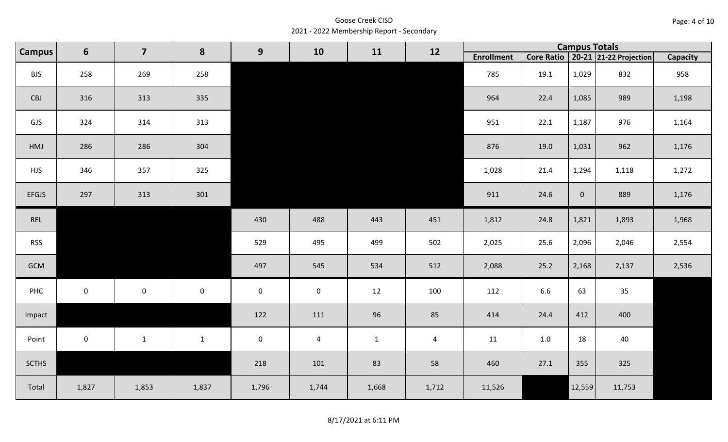Goose Creek CISD 2021 - 2022 Membership Report - Secondary

| <b>Campus</b> | $6\phantom{1}$      | $\overline{\mathbf{z}}$ | 8                   | 9           | 10             | 11           | 12             |                   |      |                | <b>Campus Totals</b>                  |                 |
|---------------|---------------------|-------------------------|---------------------|-------------|----------------|--------------|----------------|-------------------|------|----------------|---------------------------------------|-----------------|
|               |                     |                         |                     |             |                |              |                | <b>Enrollment</b> |      |                | Core Ratio   20-21   21-22 Projection | <b>Capacity</b> |
| <b>BJS</b>    | 258                 | 269                     | 258                 |             |                |              |                | 785               | 19.1 | 1,029          | 832                                   | 958             |
| CBJ           | 316                 | 313                     | 335                 |             |                |              |                | 964               | 22.4 | 1,085          | 989                                   | 1,198           |
| GJS           | 324                 | 314                     | 313                 |             |                |              |                | 951               | 22.1 | 1,187          | 976                                   | 1,164           |
| HMJ           | 286                 | 286                     | 304                 |             |                |              |                | 876               | 19.0 | 1,031          | 962                                   | 1,176           |
| <b>HJS</b>    | 346                 | 357                     | 325                 |             |                |              |                | 1,028             | 21.4 | 1,294          | 1,118                                 | 1,272           |
| <b>EFGJS</b>  | 297                 | 313                     | 301                 |             |                |              |                | 911               | 24.6 | $\overline{0}$ | 889                                   | 1,176           |
| REL           |                     |                         |                     | 430         | 488            | 443          | 451            | 1,812             | 24.8 | 1,821          | 1,893                                 | 1,968           |
| <b>RSS</b>    |                     |                         |                     | 529         | 495            | 499          | 502            | 2,025             | 25.6 | 2,096          | 2,046                                 | 2,554           |
| GCM           |                     |                         |                     | 497         | 545            | 534          | 512            | 2,088             | 25.2 | 2,168          | 2,137                                 | 2,536           |
| PHC           | $\mathsf{O}\xspace$ | $\mathbf 0$             | $\mathsf{O}\xspace$ | $\mathbf 0$ | $\mathbf 0$    | 12           | 100            | 112               | 6.6  | 63             | 35                                    |                 |
| Impact        |                     |                         |                     | 122         | 111            | 96           | 85             | 414               | 24.4 | 412            | 400                                   |                 |
| Point         | $\pmb{0}$           | $\mathbf{1}$            | $\mathbf{1}$        | $\mathbf 0$ | $\overline{4}$ | $\mathbf{1}$ | $\overline{4}$ | 11                | 1.0  | 18             | 40                                    |                 |
| <b>SCTHS</b>  |                     |                         |                     | 218         | 101            | 83           | 58             | 460               | 27.1 | 355            | 325                                   |                 |
| Total         | 1,827               | 1,853                   | 1,837               | 1,796       | 1,744          | 1,668        | 1,712          | 11,526            |      | 12,559         | 11,753                                |                 |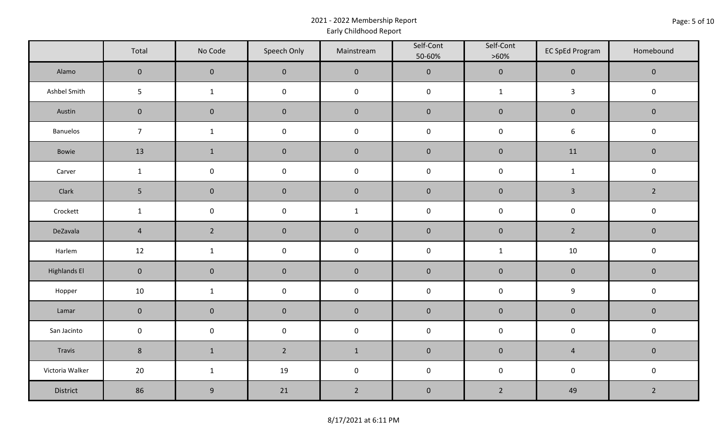## 2021 - 2022 Membership Report Early Childhood Report

|                     | Total          | No Code          | Speech Only         | Mainstream     | Self-Cont<br>50-60% | Self-Cont<br>$>60\%$ | <b>EC SpEd Program</b>  | Homebound      |
|---------------------|----------------|------------------|---------------------|----------------|---------------------|----------------------|-------------------------|----------------|
| Alamo               | $\pmb{0}$      | $\pmb{0}$        | $\mathbf 0$         | $\mathbf 0$    | $\mathbf 0$         | $\mathbf 0$          | $\mathbf 0$             | $\mathbf 0$    |
| Ashbel Smith        | 5              | $\mathbf{1}$     | $\mathsf{O}\xspace$ | $\mathbf 0$    | $\mathbf 0$         | $\mathbf{1}$         | $\mathbf{3}$            | $\mathbf 0$    |
| Austin              | $\pmb{0}$      | $\pmb{0}$        | $\pmb{0}$           | $\pmb{0}$      | $\pmb{0}$           | $\pmb{0}$            | $\pmb{0}$               | $\mathbf 0$    |
| Banuelos            | $\overline{7}$ | $\mathbf{1}$     | $\pmb{0}$           | $\mathbf 0$    | $\mathbf 0$         | $\pmb{0}$            | $\boldsymbol{6}$        | $\mathbf 0$    |
| Bowie               | 13             | $\mathbf{1}$     | $\pmb{0}$           | $\pmb{0}$      | $\pmb{0}$           | $\pmb{0}$            | 11                      | $\mathbf 0$    |
| Carver              | $\mathbf{1}$   | $\pmb{0}$        | $\mathsf{O}\xspace$ | $\mathbf 0$    | $\mathsf{O}\xspace$ | $\mathbf 0$          | $\mathbf{1}$            | $\mathbf 0$    |
| Clark               | 5              | $\pmb{0}$        | $\pmb{0}$           | $\pmb{0}$      | $\pmb{0}$           | $\pmb{0}$            | $\overline{\mathbf{3}}$ | $\overline{2}$ |
| Crockett            | $\mathbf{1}$   | $\pmb{0}$        | $\pmb{0}$           | $\mathbf{1}$   | $\mathbf 0$         | $\mathsf 0$          | $\pmb{0}$               | $\mathbf 0$    |
| DeZavala            | $\overline{4}$ | $\overline{2}$   | $\pmb{0}$           | $\pmb{0}$      | $\pmb{0}$           | $\pmb{0}$            | $\overline{2}$          | $\mathbf 0$    |
| Harlem              | 12             | $\mathbf{1}$     | $\pmb{0}$           | $\mathbf 0$    | $\mathsf{O}\xspace$ | $\mathbf{1}$         | 10                      | $\mathsf 0$    |
| <b>Highlands El</b> | $\mathbf 0$    | $\pmb{0}$        | $\pmb{0}$           | $\pmb{0}$      | $\pmb{0}$           | $\pmb{0}$            | $\pmb{0}$               | $\mathbf 0$    |
| Hopper              | 10             | $\mathbf{1}$     | $\pmb{0}$           | $\pmb{0}$      | $\pmb{0}$           | $\mathsf{O}\xspace$  | $\boldsymbol{9}$        | $\mathbf 0$    |
| Lamar               | $\mathbf 0$    | $\pmb{0}$        | $\pmb{0}$           | $\pmb{0}$      | $\pmb{0}$           | $\pmb{0}$            | $\pmb{0}$               | $\mathbf 0$    |
| San Jacinto         | $\pmb{0}$      | $\pmb{0}$        | $\pmb{0}$           | $\mathbf 0$    | $\mathbf 0$         | $\mathbf 0$          | $\mathbf 0$             | $\mathbf 0$    |
| Travis              | $\bf 8$        | $\mathbf{1}$     | $2^{\circ}$         | $\mathbf 1$    | $\pmb{0}$           | $\pmb{0}$            | $\overline{4}$          | $\mathbf 0$    |
| Victoria Walker     | 20             | $\mathbf{1}$     | 19                  | $\mathbf 0$    | $\mathbf 0$         | $\mathsf{O}\xspace$  | $\mathbf 0$             | $\mathbf 0$    |
| District            | 86             | $\boldsymbol{9}$ | 21                  | $\overline{2}$ | $\pmb{0}$           | $\overline{2}$       | 49                      | $\overline{2}$ |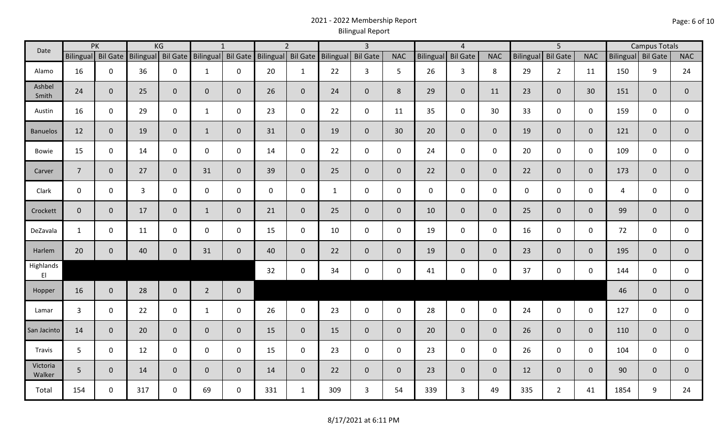## 2021 - 2022 Membership Report Bilingual Report

|                    | PK<br>Date<br>Bilingual Bil Gate |              |                    | KG             |                    | $\mathbf{1}$ |                    | $\overline{2}$ |                    | $\overline{3}$ |                |             | $\overline{4}$  |                |                  | 5 <sup>5</sup>  |                |                    | <b>Campus Totals</b> |                |
|--------------------|----------------------------------|--------------|--------------------|----------------|--------------------|--------------|--------------------|----------------|--------------------|----------------|----------------|-------------|-----------------|----------------|------------------|-----------------|----------------|--------------------|----------------------|----------------|
|                    |                                  |              | Bilingual Bil Gate |                | Bilingual Bil Gate |              | Bilingual Bil Gate |                | Bilingual Bil Gate |                | <b>NAC</b>     | Bilingual   | <b>Bil Gate</b> | <b>NAC</b>     | <b>Bilingual</b> | <b>Bil Gate</b> | <b>NAC</b>     | Bilingual Bil Gate |                      | <b>NAC</b>     |
| Alamo              | 16                               | $\mathbf 0$  | 36                 | $\mathbf 0$    | $\mathbf{1}$       | $\mathbf 0$  | 20                 | $\mathbf{1}$   | 22                 | 3              | 5              | 26          | $\mathbf{3}$    | 8              | 29               | $2^{\circ}$     | 11             | 150                | 9                    | 24             |
| Ashbel<br>Smith    | 24                               | $\mathbf{0}$ | 25                 | $\overline{0}$ | $\mathbf{0}$       | $\mathbf{0}$ | 26                 | $\overline{0}$ | 24                 | $\mathbf 0$    | 8              | 29          | $\mathbf 0$     | 11             | 23               | $\mathbf{0}$    | 30             | 151                | $\mathbf{0}$         | $\mathbf 0$    |
| Austin             | 16                               | $\mathbf 0$  | 29                 | $\mathsf 0$    | $\mathbf{1}$       | $\mathbf 0$  | 23                 | $\mathbf 0$    | 22                 | $\mathbf 0$    | 11             | 35          | $\mathbf 0$     | 30             | 33               | $\mathbf 0$     | $\mathbf 0$    | 159                | $\mathbf 0$          | 0              |
| <b>Banuelos</b>    | 12                               | $\mathbf{0}$ | 19                 | $\mathbf 0$    | $\mathbf{1}$       | $\mathbf{0}$ | 31                 | $\overline{0}$ | 19                 | $\mathbf{0}$   | 30             | 20          | $\overline{0}$  | $\overline{0}$ | 19               | $\overline{0}$  | $\overline{0}$ | 121                | $\mathbf 0$          | $\mathbf 0$    |
| Bowie              | 15                               | $\mathbf 0$  | 14                 | $\mathbf 0$    | $\mathsf{O}$       | $\mathbf 0$  | 14                 | $\mathbf 0$    | 22                 | $\mathbf 0$    | $\mathbf 0$    | 24          | $\mathbf 0$     | $\mathbf 0$    | 20               | $\mathbf 0$     | $\mathbf 0$    | 109                | $\mathbf 0$          | $\mathbf 0$    |
| Carver             | $\overline{7}$                   | $\mathbf 0$  | 27                 | $\mathbf 0$    | 31                 | $\mathbf{0}$ | 39                 | $\overline{0}$ | 25                 | $\mathbf 0$    | $\overline{0}$ | 22          | $\overline{0}$  | $\overline{0}$ | 22               | $\mathbf{0}$    | $\overline{0}$ | 173                | $\mathbf{0}$         | $\mathbf 0$    |
| Clark              | $\mathbf 0$                      | $\mathbf 0$  | $\overline{3}$     | $\mathbf 0$    | 0                  | $\mathbf 0$  | $\mathbf 0$        | $\mathbf 0$    | $\mathbf{1}$       | $\mathbf 0$    | $\mathbf 0$    | $\mathbf 0$ | $\mathbf 0$     | $\mathbf 0$    | $\mathbf 0$      | $\mathbf 0$     | $\mathbf 0$    | $\overline{4}$     | $\mathbf 0$          | 0              |
| Crockett           | $\overline{0}$                   | $\mathbf 0$  | 17                 | $\mathbf 0$    | $\mathbf{1}$       | $\mathbf{0}$ | 21                 | $\overline{0}$ | 25                 | $\mathbf{0}$   | $\mathbf{0}$   | 10          | $\overline{0}$  | $\overline{0}$ | 25               | $\overline{0}$  | $\overline{0}$ | 99                 | $\mathbf{0}$         | $\mathbf 0$    |
| DeZavala           | $\mathbf{1}$                     | $\mathbf 0$  | 11                 | $\mathbf 0$    | $\mathsf{O}$       | $\mathbf 0$  | 15                 | $\mathbf 0$    | 10                 | $\mathbf 0$    | $\mathbf 0$    | 19          | $\mathbf 0$     | $\mathbf 0$    | 16               | $\mathbf 0$     | $\mathbf 0$    | 72                 | $\mathbf 0$          | $\mathsf{O}$   |
| Harlem             | 20                               | $\mathbf{0}$ | 40                 | $\mathbf 0$    | 31                 | $\mathbf{0}$ | 40                 | $\overline{0}$ | 22                 | $\mathbf 0$    | $\mathbf{0}$   | 19          | $\overline{0}$  | $\overline{0}$ | 23               | $\mathbf{0}$    | $\overline{0}$ | 195                | $\overline{0}$       | $\overline{0}$ |
| Highlands<br>EI    |                                  |              |                    |                |                    |              | 32                 | $\mathbf 0$    | 34                 | $\mathbf 0$    | $\mathbf 0$    | 41          | $\mathbf 0$     | $\mathbf 0$    | 37               | 0               | $\mathbf 0$    | 144                | $\mathbf 0$          | 0              |
| Hopper             | 16                               | $\mathbf 0$  | 28                 | $\mathbf 0$    | $\overline{2}$     | $\mathbf 0$  |                    |                |                    |                |                |             |                 |                |                  |                 |                | 46                 | $\mathbf{0}$         | $\pmb{0}$      |
| Lamar              | $\mathbf{3}$                     | $\mathbf 0$  | 22                 | $\mathbf 0$    | $\mathbf{1}$       | $\mathbf 0$  | 26                 | $\mathbf 0$    | 23                 | $\mathbf 0$    | $\mathbf 0$    | 28          | $\mathbf 0$     | $\mathbf 0$    | 24               | $\mathbf 0$     | $\mathbf 0$    | 127                | $\mathbf 0$          | 0              |
| San Jacinto        | 14                               | $\mathbf{0}$ | 20                 | $\overline{0}$ | $\mathbf 0$        | $\mathbf 0$  | 15                 | $\overline{0}$ | 15                 | $\mathbf{0}$   | $\mathbf{0}$   | 20          | $\overline{0}$  | $\overline{0}$ | 26               | $\overline{0}$  | $\mathbf{0}$   | 110                | $\mathbf{0}$         | $\pmb{0}$      |
| Travis             | 5 <sub>1</sub>                   | $\mathbf 0$  | 12                 | $\mathbf 0$    | $\mathbf 0$        | $\mathbf 0$  | 15                 | $\mathbf 0$    | 23                 | $\mathbf 0$    | $\mathbf 0$    | 23          | $\mathbf 0$     | $\mathbf 0$    | 26               | $\mathbf 0$     | $\mathbf 0$    | 104                | $\mathbf 0$          | 0              |
| Victoria<br>Walker | 5 <sup>5</sup>                   | $\mathbf 0$  | 14                 | $\overline{0}$ | $\mathbf{0}$       | $\mathbf{0}$ | 14                 | $\overline{0}$ | 22                 | $\mathbf 0$    | $\overline{0}$ | 23          | $\overline{0}$  | $\overline{0}$ | 12               | $\overline{0}$  | $\overline{0}$ | 90                 | $\mathbf{0}$         | $\mathbf{0}$   |
| Total              | 154                              | 0            | 317                | $\mathbf 0$    | 69                 | 0            | 331                | $\mathbf{1}$   | 309                | $\mathbf{3}$   | 54             | 339         | $\mathbf{3}$    | 49             | 335              | $2^{\circ}$     | 41             | 1854               | 9                    | 24             |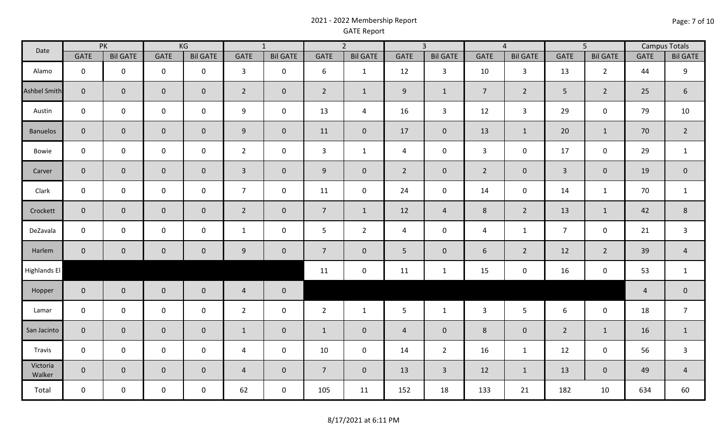## 2021 - 2022 Membership Report GATE Report

| Date                | PK                  |                 | KG             |                     | $\overline{1}$ |                     | $\overline{2}$ |                     | $\overline{3}$  |                 | $\overline{4}$ |                 | $\overline{5}$ |                     | <b>Campus Totals</b> |                 |
|---------------------|---------------------|-----------------|----------------|---------------------|----------------|---------------------|----------------|---------------------|-----------------|-----------------|----------------|-----------------|----------------|---------------------|----------------------|-----------------|
|                     | <b>GATE</b>         | <b>Bil GATE</b> | <b>GATE</b>    | <b>Bil GATE</b>     | <b>GATE</b>    | <b>Bil GATE</b>     | <b>GATE</b>    | <b>Bil GATE</b>     | <b>GATE</b>     | <b>Bil GATE</b> | <b>GATE</b>    | <b>Bil GATE</b> | <b>GATE</b>    | <b>Bil GATE</b>     | <b>GATE</b>          | <b>Bil GATE</b> |
| Alamo               | $\mathbf 0$         | $\mathbf 0$     | $\mathbf 0$    | $\mathbf 0$         | $\mathbf{3}$   | $\mathbf 0$         | 6              | $\mathbf{1}$        | 12              | 3               | 10             | $\mathbf{3}$    | 13             | $\overline{2}$      | 44                   | 9               |
| <b>Ashbel Smith</b> | $\mathbf 0$         | $\mathbf 0$     | $\mathbf{0}$   | $\overline{0}$      | $\overline{2}$ | $\mathbf 0$         | $\overline{2}$ | $\mathbf{1}$        | 9               | $\mathbf{1}$    | $\overline{7}$ | $2^{\circ}$     | 5 <sup>5</sup> | $\overline{2}$      | 25                   | 6               |
| Austin              | $\mathbf 0$         | $\mathbf 0$     | $\mathbf 0$    | $\mathbf 0$         | 9              | $\mathbf 0$         | 13             | $\overline{a}$      | 16              | $\mathbf{3}$    | 12             | $\overline{3}$  | 29             | $\mathsf{O}\xspace$ | 79                   | 10              |
| <b>Banuelos</b>     | $\mathbf 0$         | $\mathbf{0}$    | $\overline{0}$ | $\overline{0}$      | 9              | $\mathbf 0$         | 11             | $\overline{0}$      | 17              | $\overline{0}$  | 13             | $\mathbf{1}$    | 20             | $\mathbf{1}$        | 70                   | $\overline{2}$  |
| Bowie               | $\mathbf 0$         | $\mathbf 0$     | $\mathbf 0$    | $\mathsf{O}$        | $\overline{2}$ | $\mathsf 0$         | $\mathbf{3}$   | $\mathbf{1}$        | 4               | $\mathbf 0$     | $\mathbf{3}$   | $\mathbf 0$     | 17             | $\mathsf{O}\xspace$ | 29                   | $\mathbf{1}$    |
| Carver              | $\mathbf 0$         | $\mathbf 0$     | $\mathbf{0}$   | $\mathsf{O}\xspace$ | $\overline{3}$ | $\mathsf{O}\xspace$ | 9              | $\mathsf{O}\xspace$ | $\overline{2}$  | $\mathbf 0$     | $\overline{2}$ | $\overline{0}$  | $\overline{3}$ | $\mathsf{O}\xspace$ | 19                   | $\mathbf 0$     |
| Clark               | $\mathbf 0$         | $\mathsf{O}$    | $\mathsf{O}$   | $\mathbf 0$         | $\overline{7}$ | $\mathbf 0$         | 11             | $\mathsf{O}\xspace$ | 24              | $\mathbf 0$     | 14             | $\mathbf 0$     | 14             | $\mathbf{1}$        | 70                   | $\mathbf{1}$    |
| Crockett            | $\mathbf 0$         | $\mathbf{0}$    | $\mathbf 0$    | $\mathbf 0$         | $\overline{2}$ | $\pmb{0}$           | $\overline{7}$ | $\mathbf{1}$        | 12              | $\overline{4}$  | $8\phantom{1}$ | $2^{\circ}$     | 13             | $1\,$               | 42                   | $8\phantom{1}$  |
| DeZavala            | $\mathbf 0$         | $\mathbf 0$     | $\mathsf{O}$   | $\mathbf 0$         | $\mathbf{1}$   | $\mathsf 0$         | 5              | $\overline{2}$      | $\overline{4}$  | $\pmb{0}$       | $\overline{4}$ | $\mathbf{1}$    | $\overline{7}$ | $\mathsf{O}\xspace$ | 21                   | $\mathbf{3}$    |
| Harlem              | $\mathbf 0$         | $\mathbf 0$     | $\overline{0}$ | $\mathbf 0$         | 9              | $\mathbf 0$         | $\overline{7}$ | $\mathbf{0}$        | 5               | $\mathbf 0$     | 6              | $\overline{2}$  | 12             | $\overline{2}$      | 39                   | $\overline{4}$  |
| <b>Highlands El</b> |                     |                 |                |                     |                |                     | 11             | $\pmb{0}$           | 11              | $\mathbf{1}$    | 15             | $\mathbf 0$     | 16             | $\mathsf{O}\xspace$ | 53                   | $\mathbf{1}$    |
| Hopper              | $\mathbf 0$         | $\mathbf 0$     | $\overline{0}$ | $\mathbf 0$         | $\overline{4}$ | $\pmb{0}$           |                |                     |                 |                 |                |                 |                |                     | $\overline{a}$       | $\overline{0}$  |
| Lamar               | $\mathsf 0$         | $\mathbf 0$     | $\mathbf 0$    | $\mathbf 0$         | $\overline{2}$ | $\mathsf 0$         | $\overline{2}$ | $\mathbf{1}$        | $5\phantom{.0}$ | $\mathbf{1}$    | $\mathbf{3}$   | 5 <sup>5</sup>  | 6              | $\mathbf 0$         | 18                   | $\overline{7}$  |
| San Jacinto         | $\mathbf 0$         | $\mathbf 0$     | $\overline{0}$ | $\mathbf{0}$        | $\mathbf{1}$   | $\mathbf 0$         | $\mathbf{1}$   | $\mathbf{0}$        | $\overline{4}$  | $\mathbf 0$     | 8              | $\overline{0}$  | $\overline{2}$ | $1\,$               | 16                   | $\mathbf{1}$    |
| Travis              | $\mathsf{O}\xspace$ | $\mathsf{O}$    | $\mathbf 0$    | $\mathbf 0$         | $\overline{4}$ | $\mathsf 0$         | 10             | $\mathsf{O}\xspace$ | 14              | $\overline{2}$  | 16             | $\mathbf{1}$    | 12             | $\mathsf{O}\xspace$ | 56                   | $\mathbf{3}$    |
| Victoria<br>Walker  | $\mathsf{O}\xspace$ | $\overline{0}$  | $\overline{0}$ | $\mathbf 0$         | $\overline{4}$ | $\pmb{0}$           | $\overline{7}$ | $\mathbf 0$         | 13              | $\mathbf{3}$    | 12             | $\mathbf{1}$    | 13             | $\mathbf 0$         | 49                   | $\overline{4}$  |
| Total               | $\mathbf 0$         | $\mathbf 0$     | $\mathbf 0$    | $\mathbf 0$         | 62             | $\pmb{0}$           | 105            | 11                  | 152             | 18              | 133            | 21              | 182            | 10                  | 634                  | 60              |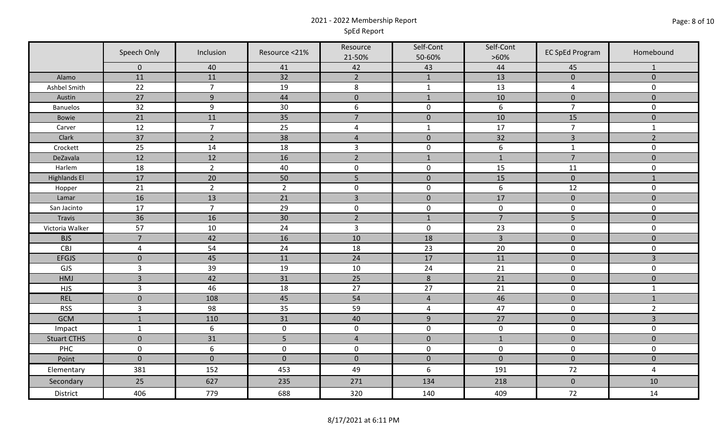## 2021 - 2022 Membership Report SpEd Report

|                     | Speech Only    | Inclusion        | Resource <21%  | Resource<br>21-50% | Self-Cont<br>50-60% | Self-Cont<br>$>60\%$ | <b>EC SpEd Program</b> | Homebound           |  |
|---------------------|----------------|------------------|----------------|--------------------|---------------------|----------------------|------------------------|---------------------|--|
|                     | $\mathbf 0$    | 40               | 41             | 42                 | 43                  | 44                   | 45                     | -1                  |  |
| Alamo               | 11             | 11               | 32             | $\overline{2}$     | $\mathbf{1}$        | 13                   | $\mathbf{0}$           | $\mathbf 0$         |  |
| Ashbel Smith        | 22             | $\overline{7}$   | 19             | 8                  | $\mathbf{1}$        | 13                   | $\overline{4}$         | $\mathbf 0$         |  |
| Austin              | 27             | $9$              | $44\,$         | $\pmb{0}$          | $\mathbf{1}$        | 10                   | $\mathbf{0}$           | $\mathbf{0}$        |  |
| <b>Banuelos</b>     | 32             | $\boldsymbol{9}$ | 30             | 6                  | $\mathsf 0$         | 6                    | $\overline{7}$         | $\mathbf 0$         |  |
| Bowie               | 21             | 11               | 35             | $\overline{7}$     | $\mathbf 0$         | 10                   | 15                     | $\mathbf 0$         |  |
| Carver              | 12             | $\overline{7}$   | 25             | 4                  | $\mathbf{1}$        | 17                   | $\overline{7}$         | $\mathbf{1}$        |  |
| Clark               | 37             | $\overline{2}$   | 38             | $\overline{4}$     | $\mathbf 0$         | 32                   | $\overline{3}$         | $\overline{2}$      |  |
| Crockett            | 25             | 14               | 18             | $\overline{3}$     | $\pmb{0}$           | $\boldsymbol{6}$     | $\mathbf{1}$           | $\mathbf 0$         |  |
| DeZavala            | 12             | 12               | 16             | $\overline{2}$     | $1\,$               | $\mathbf{1}$         | $\overline{7}$         | $\mathsf{O}\xspace$ |  |
| Harlem              | 18             | $\overline{2}$   | 40             | $\mathbf 0$        | $\mathbf 0$         | 15                   | 11                     | $\mathbf 0$         |  |
| <b>Highlands El</b> | 17             | 20               | 50             | 5                  | $\mathbf 0$         | 15                   | $\mathbf{0}$           | $\mathbf{1}$        |  |
| Hopper              | 21             | $\overline{2}$   | $\overline{2}$ | $\mathbf 0$        | $\mathbf 0$         | 6                    | 12                     | $\mathbf 0$         |  |
| Lamar               | 16             | 13               | 21             | $\overline{3}$     | $\pmb{0}$           | 17                   | $\pmb{0}$              | $\mathsf{O}\xspace$ |  |
| San Jacinto         | 17             | $\overline{7}$   | 29             | $\pmb{0}$          | 0                   | $\pmb{0}$            | $\mathsf 0$            | $\mathbf 0$         |  |
| Travis              | 36             | 16               | $30\,$         | $\overline{2}$     | $\mathbf{1}$        | $\overline{7}$       | 5                      | $\mathbf{0}$        |  |
| Victoria Walker     | 57             | 10               | 24             | $\overline{3}$     | $\mathbf 0$         | 23                   | $\mathbf 0$            | $\mathbf 0$         |  |
| <b>BJS</b>          | $\overline{7}$ | 42               | 16             | 10                 | 18                  | $\overline{3}$       | $\pmb{0}$              | $\pmb{0}$           |  |
| CBJ                 | $\sqrt{4}$     | 54               | 24             | 18                 | 23                  | 20                   | $\mathbf 0$            | $\mathsf{O}$        |  |
| <b>EFGJS</b>        | $\mathbf 0$    | 45               | 11             | 24                 | $17\,$              | $11\,$               | $\mathbf 0$            | $\overline{3}$      |  |
| <b>GJS</b>          | $\overline{3}$ | 39               | 19             | 10                 | 24                  | $\overline{21}$      | $\mathbf 0$            | $\mathbf 0$         |  |
| HMJ                 | $\overline{3}$ | 42               | 31             | 25                 | $8\phantom{1}$      | 21                   | $\mathbf 0$            | $\mathbf{0}$        |  |
| <b>HJS</b>          | $\mathbf{3}$   | 46               | 18             | 27                 | 27                  | 21                   | $\mathbf 0$            | $\mathbf{1}$        |  |
| <b>REL</b>          | $\pmb{0}$      | 108              | 45             | 54                 | $\overline{4}$      | 46                   | $\mathbf 0$            | $\mathbf 1$         |  |
| <b>RSS</b>          | $\overline{3}$ | 98               | 35             | 59                 | 4                   | 47                   | $\mathbf 0$            | $\overline{2}$      |  |
| <b>GCM</b>          | $\mathbf{1}$   | 110              | 31             | 40                 | 9                   | 27                   | $\mathbf{0}$           | $\overline{3}$      |  |
| Impact              | $\mathbf{1}$   | $\boldsymbol{6}$ | $\pmb{0}$      | $\pmb{0}$          | $\mathsf{O}\xspace$ | $\mathsf{O}\xspace$  | $\mathbf 0$            | $\mathbf 0$         |  |
| <b>Stuart CTHS</b>  | $\mathbf 0$    | 31               | 5              | $\overline{4}$     | $\mathbf 0$         | $\mathbf{1}$         | $\mathbf{0}$           | $\mathbf{0}$        |  |
| PHC                 | $\pmb{0}$      | $\boldsymbol{6}$ | $\pmb{0}$      | $\mathbf 0$        | $\mathbf 0$         | $\mathbf 0$          | $\mathbf 0$            | $\mathbf 0$         |  |
| Point               | $\mathbf 0$    | $\mathbf 0$      | $\mathbf 0$    | $\mathbf 0$        | $\mathbf{0}$        | $\mathbf{0}$         | $\mathbf{0}$           | $\mathbf 0$         |  |
| Elementary          | 381            | 152              | 453            | 49                 | 6                   | 191                  | 72                     | $\overline{4}$      |  |
| Secondary           | 25             | 627              | 235            | 271                | 134                 | 218                  | $\pmb{0}$              | 10                  |  |
| District            | 406            | 779              | 688            | 320                | 140                 | 409                  | 72                     | 14                  |  |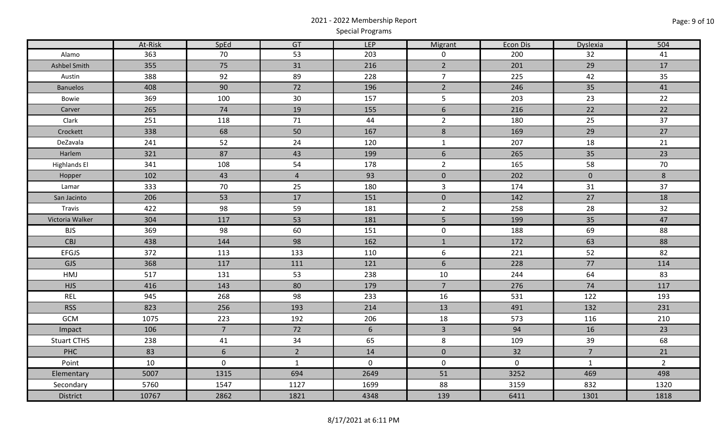# 2021 - 2022 Membership Report Special Programs

|                     | At-Risk | SpEd            | GT             | <b>LEP</b>  | Migrant        | Econ Dis    | Dyslexia       | 504            |
|---------------------|---------|-----------------|----------------|-------------|----------------|-------------|----------------|----------------|
| Alamo               | 363     | 70              | 53             | 203         | $\mathbf 0$    | 200         | 32             | 41             |
| Ashbel Smith        | 355     | 75              | 31             | 216         | $2^{\circ}$    | 201         | 29             | 17             |
| Austin              | 388     | 92              | 89             | 228         | $\overline{7}$ | 225         | 42             | 35             |
| <b>Banuelos</b>     | 408     | 90              | 72             | 196         | $\overline{2}$ | 246         | 35             | 41             |
| Bowie               | 369     | 100             | 30             | 157         | 5              | 203         | 23             | 22             |
| Carver              | 265     | 74              | 19             | 155         | $6\phantom{1}$ | 216         | 22             | 22             |
| Clark               | 251     | 118             | 71             | 44          | $\overline{2}$ | 180         | 25             | 37             |
| Crockett            | 338     | 68              | 50             | 167         | $\bf 8$        | 169         | 29             | 27             |
| DeZavala            | 241     | 52              | 24             | 120         | $\mathbf{1}$   | 207         | 18             | 21             |
| Harlem              | 321     | 87              | 43             | 199         | 6              | 265         | 35             | 23             |
| <b>Highlands El</b> | 341     | 108             | 54             | 178         | $\overline{2}$ | 165         | 58             | 70             |
| Hopper              | 102     | 43              | $\overline{4}$ | 93          | $\mathbf 0$    | 202         | $\overline{0}$ | 8              |
| Lamar               | 333     | 70              | 25             | 180         | $\mathbf{3}$   | 174         | 31             | 37             |
| San Jacinto         | 206     | 53              | 17             | 151         | $\mathbf 0$    | 142         | 27             | 18             |
| Travis              | 422     | 98              | 59             | 181         | $\overline{2}$ | 258         | 28             | 32             |
| Victoria Walker     | 304     | 117             | 53             | 181         | 5              | 199         | 35             | 47             |
| <b>BJS</b>          | 369     | 98              | 60             | 151         | $\mathbf 0$    | 188         | 69             | 88             |
| <b>CBJ</b>          | 438     | 144             | 98             | 162         | $\mathbf{1}$   | 172         | 63             | 88             |
| <b>EFGJS</b>        | 372     | 113             | 133            | 110         | 6              | 221         | 52             | 82             |
| GJS                 | 368     | 117             | 111            | 121         | $6\,$          | 228         | 77             | 114            |
| HMJ                 | 517     | 131             | 53             | 238         | 10             | 244         | 64             | 83             |
| <b>HJS</b>          | 416     | 143             | 80             | 179         | $\overline{7}$ | 276         | 74             | 117            |
| <b>REL</b>          | 945     | 268             | 98             | 233         | 16             | 531         | 122            | 193            |
| <b>RSS</b>          | 823     | 256             | 193            | 214         | 13             | 491         | 132            | 231            |
| GCM                 | 1075    | 223             | 192            | 206         | 18             | 573         | 116            | 210            |
| Impact              | 106     | 7 <sup>1</sup>  | 72             | 6           | $\overline{3}$ | 94          | 16             | 23             |
| <b>Stuart CTHS</b>  | 238     | 41              | 34             | 65          | 8              | 109         | 39             | 68             |
| PHC                 | 83      | $6\overline{6}$ | $2^{\circ}$    | 14          | $\mathbf 0$    | 32          | $\overline{7}$ | 21             |
| Point               | 10      | $\pmb{0}$       | $\mathbf{1}$   | $\mathbf 0$ | $\mathbf 0$    | $\mathbf 0$ | $\mathbf{1}$   | $\overline{2}$ |
| Elementary          | 5007    | 1315            | 694            | 2649        | 51             | 3252        | 469            | 498            |
| Secondary           | 5760    | 1547            | 1127           | 1699        | 88             | 3159        | 832            | 1320           |
| District            | 10767   | 2862            | 1821           | 4348        | 139            | 6411        | 1301           | 1818           |